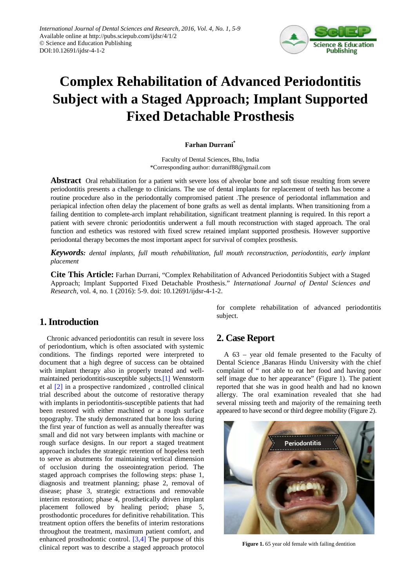

# **Complex Rehabilitation of Advanced Periodontitis Subject with a Staged Approach; Implant Supported Fixed Detachable Prosthesis**

#### **Farhan Durrani\***

Faculty of Dental Sciences, Bhu, India \*Corresponding author: durranif88@gmail.com

**Abstract** Oral rehabilitation for a patient with severe loss of alveolar bone and soft tissue resulting from severe periodontitis presents a challenge to clinicians. The use of dental implants for replacement of teeth has become a routine procedure also in the periodontally compromised patient .The presence of periodontal inflammation and periapical infection often delay the placement of bone grafts as well as dental implants. When transitioning from a failing dentition to complete-arch implant rehabilitation, significant treatment planning is required. In this report a patient with severe chronic periodontitis underwent a full mouth reconstruction with staged approach. The oral function and esthetics was restored with fixed screw retained implant supported prosthesis. However supportive periodontal therapy becomes the most important aspect for survival of complex prosthesis.

*Keywords: dental implants, full mouth rehabilitation, full mouth reconstruction, periodontitis, early implant placement*

**Cite This Article:** Farhan Durrani, "Complex Rehabilitation of Advanced Periodontitis Subject with a Staged Approach; Implant Supported Fixed Detachable Prosthesis." *International Journal of Dental Sciences and Research*, vol. 4, no. 1 (2016): 5-9. doi: 10.12691/ijdsr-4-1-2.

## **1. Introduction**

Chronic advanced periodontitis can result in severe loss of periodontium, which is often associated with systemic conditions. The findings reported were interpreted to document that a high degree of success can be obtained with implant therapy also in properly treated and wellmaintained periodontitis-susceptible subject[s.\[1\]](#page-4-0) Wennstorm et al [\[2\]](#page-4-1) in a prospective randomized , controlled clinical trial described about the outcome of restorative therapy with implants in periodontitis-susceptible patients that had been restored with either machined or a rough surface topography. The study demonstrated that bone loss during the first year of function as well as annually thereafter was small and did not vary between implants with machine or rough surface designs. In our report a staged treatment approach includes the strategic retention of hopeless teeth to serve as abutments for maintaining vertical dimension of occlusion during the osseointegration period. The staged approach comprises the following steps: phase 1, diagnosis and treatment planning; phase 2, removal of disease; phase 3, strategic extractions and removable interim restoration; phase 4, prosthetically driven implant placement followed by healing period; phase 5, prosthodontic procedures for definitive rehabilitation. This treatment option offers the benefits of interim restorations throughout the treatment, maximum patient comfort, and enhanced prosthodontic control. [\[3,4\]](#page-4-2) The purpose of this clinical report was to describe a staged approach protocol for complete rehabilitation of advanced periodontitis subject.

## **2. Case Report**

A 63 – year old female presented to the Faculty of Dental Science ,Banaras Hindu University with the chief complaint of " not able to eat her food and having poor self image due to her appearance" (Figure 1). The patient reported that she was in good health and had no known allergy. The oral examination revealed that she had several missing teeth and majority of the remaining teeth appeared to have second or third degree mobility (Figure 2).



Figure 1. 65 year old female with failing dentition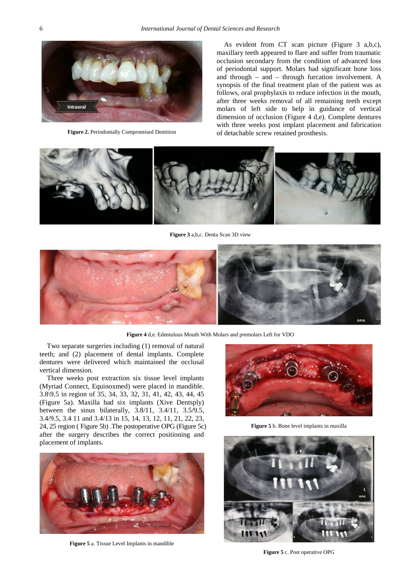

**Figure 2.** Periodontally Compromised Dentition

As evident from CT scan picture (Figure 3 a,b,c), maxillary teeth appeared to flare and suffer from traumatic occlusion secondary from the condition of advanced loss of periodontal support. Molars had significant bone loss and through – and – through furcation involvement. A synopsis of the final treatment plan of the patient was as follows, oral prophylaxis to reduce infection in the mouth, after three weeks removal of all remaining teeth except molars of left side to help in guidance of vertical dimension of occlusion (Figure 4 d,e). Complete dentures with three weeks post implant placement and fabrication of detachable screw retained prosthesis.



**Figure 3** a,b,c. Denta Scan 3D view



**Figure 4** d,e. Edentulous Mouth With Molars and premolars Left for VDO

Two separate surgeries including (1) removal of natural teeth; and (2) placement of dental implants. Complete dentures were delivered which maintained the occlusal vertical dimension.

Three weeks post extraction six tissue level implants (Myriad Connect, Equinoxmed) were placed in mandible. 3.8\9.5 in region of 35, 34, 33, 32, 31, 41, 42, 43, 44, 45 (Figure 5a). Maxilla had six implants (Xive Dentsply) between the sinus bilaterally, 3.8/11, 3.4/11, 3.5/9.5, 3.4/9.5, 3.4 11 and 3.4/13 in 15, 14, 13, 12, 11, 21, 22, 23, 24, 25 region ( Figure 5b) .The postoperative OPG (Figure 5c) after the surgery describes the correct positioning and placement of implants.



**Figure 5** a. Tissue Level Implants in mandible



**Figure 5** b. Bone level implants in maxilla



**Figure 5** c. Post operative OPG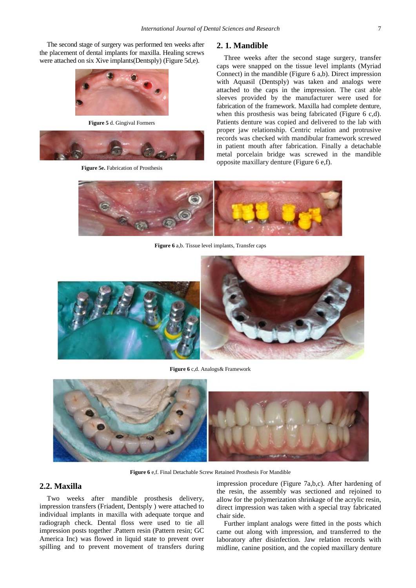The second stage of surgery was performed ten weeks after the placement of dental implants for maxilla. Healing screws were attached on six Xive implants(Dentsply) (Figure 5d,e).



**Figure 5** d. Gingival Formers



**Figure 5e.** Fabrication of Prosthesis

#### **2. 1. Mandible**

Three weeks after the second stage surgery, transfer caps were snapped on the tissue level implants (Myriad Connect) in the mandible (Figure 6 a,b). Direct impression with Aquasil (Dentsply) was taken and analogs were attached to the caps in the impression. The cast able sleeves provided by the manufacturer were used for fabrication of the framework. Maxilla had complete denture, when this prosthesis was being fabricated (Figure 6 c,d). Patients denture was copied and delivered to the lab with proper jaw relationship. Centric relation and protrusive records was checked with mandibular framework screwed in patient mouth after fabrication. Finally a detachable metal porcelain bridge was screwed in the mandible opposite maxillary denture (Figure 6 e,f).



**Figure 6** a,b. Tissue level implants, Transfer caps



**Figure 6** c,d. Analogs& Framework



**Figure 6** e,f. Final Detachable Screw Retained Prosthesis For Mandible

#### **2.2. Maxilla**

Two weeks after mandible prosthesis delivery, impression transfers (Friadent, Dentsply ) were attached to individual implants in maxilla with adequate torque and radiograph check. Dental floss were used to tie all impression posts together .Pattern resin (Pattern resin; GC America Inc) was flowed in liquid state to prevent over spilling and to prevent movement of transfers during

impression procedure (Figure 7a,b,c). After hardening of the resin, the assembly was sectioned and rejoined to allow for the polymerization shrinkage of the acrylic resin, direct impression was taken with a special tray fabricated chair side.

Further implant analogs were fitted in the posts which came out along with impression, and transferred to the laboratory after disinfection. Jaw relation records with midline, canine position, and the copied maxillary denture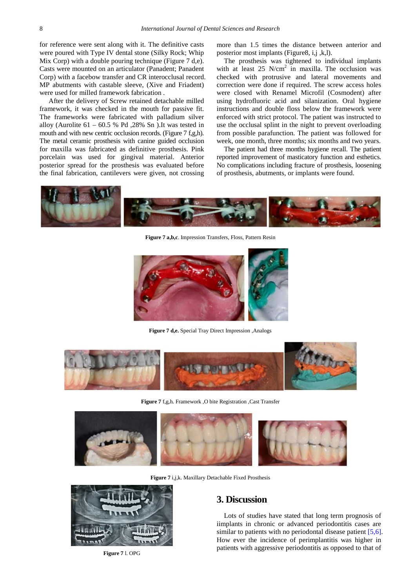for reference were sent along with it. The definitive casts were poured with Type IV dental stone (Silky Rock; Whip Mix Corp) with a double pouring technique (Figure 7 d,e). Casts were mounted on an articulator (Panadent; Panadent Corp) with a facebow transfer and CR interocclusal record. MP abutments with castable sleeve, (Xive and Friadent) were used for milled framework fabrication .

After the delivery of Screw retained detachable milled framework, it was checked in the mouth for passive fit. The frameworks were fabricated with palladium silver alloy (Aurolite  $61 - 60.5$  % Pd ,  $28\%$  Sn ). It was tested in mouth and with new centric occlusion records. (Figure 7 f,g,h). The metal ceramic prosthesis with canine guided occlusion for maxilla was fabricated as definitive prosthesis. Pink porcelain was used for gingival material. Anterior posterior spread for the prosthesis was evaluated before the final fabrication, cantilevers were given, not crossing

more than 1.5 times the distance between anterior and posterior most implants (Figure8, i,j ,k,l).

The prosthesis was tightened to individual implants with at least  $25$  N/cm<sup>2</sup> in maxilla. The occlusion was checked with protrusive and lateral movements and correction were done if required. The screw access holes were closed with Renamel Microfil (Cosmodent) after using hydrofluoric acid and silanization. Oral hygiene instructions and double floss below the framework were enforced with strict protocol. The patient was instructed to use the occlusal splint in the night to prevent overloading from possible parafunction. The patient was followed for week, one month, three months; six months and two years.

The patient had three months hygiene recall. The patient reported improvement of masticatory function and esthetics. No complications including fracture of prosthesis, loosening of prosthesis, abutments, or implants were found.



**Figure 7 a,b,c**. Impression Transfers, Floss, Pattern Resin



**Figure 7 d,e.** Special Tray Direct Impression ,Analogs



**Figure 7** f,g,h. Framework ,O bite Registration ,Cast Transfer



**Figure 7** i,j,k. Maxillary Detachable Fixed Prosthesis



**Figure 7** l. OPG

# **3. Discussion**

Lots of studies have stated that long term prognosis of iimplants in chronic or advanced periodontitis cases are similar to patients with no periodontal disease patient [\[5,6\].](#page-4-3) How ever the incidence of perimplantitis was higher in patients with aggressive periodontitis as opposed to that of